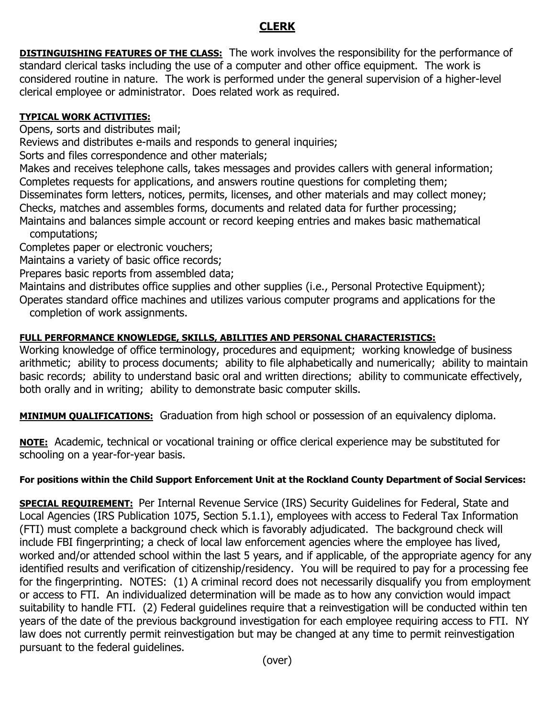## **CLERK**

**DISTINGUISHING FEATURES OF THE CLASS:** The work involves the responsibility for the performance of standard clerical tasks including the use of a computer and other office equipment. The work is considered routine in nature. The work is performed under the general supervision of a higher-level clerical employee or administrator. Does related work as required.

## **TYPICAL WORK ACTIVITIES:**

Opens, sorts and distributes mail;

Reviews and distributes e-mails and responds to general inquiries;

Sorts and files correspondence and other materials;

Makes and receives telephone calls, takes messages and provides callers with general information; Completes requests for applications, and answers routine questions for completing them; Disseminates form letters, notices, permits, licenses, and other materials and may collect money; Checks, matches and assembles forms, documents and related data for further processing; Maintains and balances simple account or record keeping entries and makes basic mathematical

computations;

Completes paper or electronic vouchers;

Maintains a variety of basic office records;

Prepares basic reports from assembled data;

Maintains and distributes office supplies and other supplies (i.e., Personal Protective Equipment); Operates standard office machines and utilizes various computer programs and applications for the completion of work assignments.

## **FULL PERFORMANCE KNOWLEDGE, SKILLS, ABILITIES AND PERSONAL CHARACTERISTICS:**

Working knowledge of office terminology, procedures and equipment; working knowledge of business arithmetic; ability to process documents; ability to file alphabetically and numerically; ability to maintain basic records; ability to understand basic oral and written directions; ability to communicate effectively, both orally and in writing; ability to demonstrate basic computer skills.

**MINIMUM QUALIFICATIONS:** Graduation from high school or possession of an equivalency diploma.

**NOTE:** Academic, technical or vocational training or office clerical experience may be substituted for schooling on a year-for-year basis.

## **For positions within the Child Support Enforcement Unit at the Rockland County Department of Social Services:**

**SPECIAL REQUIREMENT:** Per Internal Revenue Service (IRS) Security Guidelines for Federal, State and Local Agencies (IRS Publication 1075, Section 5.1.1), employees with access to Federal Tax Information (FTI) must complete a background check which is favorably adjudicated. The background check will include FBI fingerprinting; a check of local law enforcement agencies where the employee has lived, worked and/or attended school within the last 5 years, and if applicable, of the appropriate agency for any identified results and verification of citizenship/residency. You will be required to pay for a processing fee for the fingerprinting. NOTES: (1) A criminal record does not necessarily disqualify you from employment or access to FTI. An individualized determination will be made as to how any conviction would impact suitability to handle FTI. (2) Federal guidelines require that a reinvestigation will be conducted within ten years of the date of the previous background investigation for each employee requiring access to FTI. NY law does not currently permit reinvestigation but may be changed at any time to permit reinvestigation pursuant to the federal guidelines.